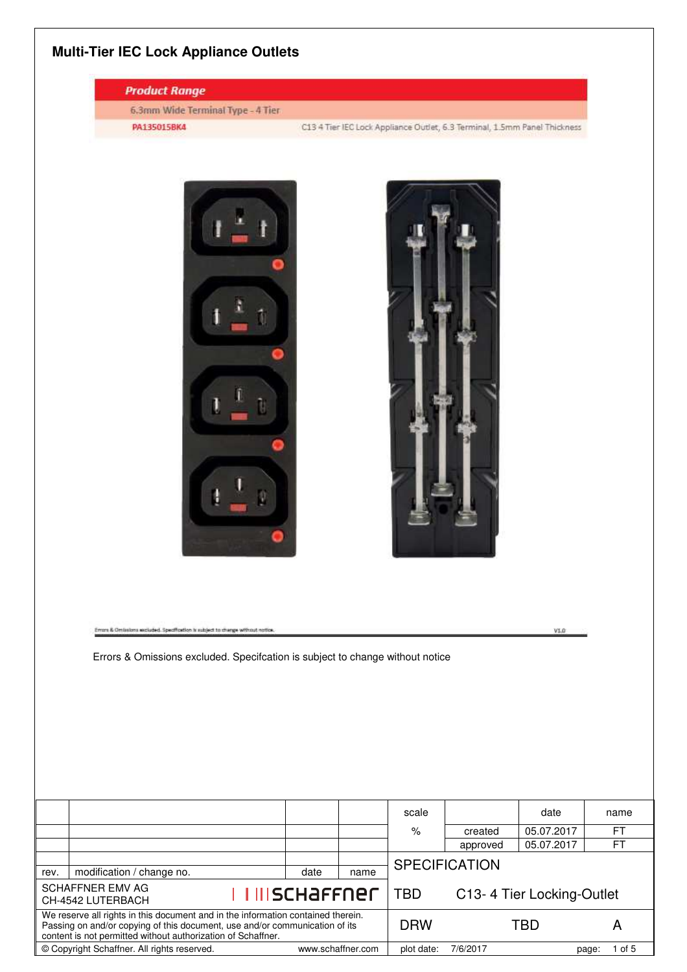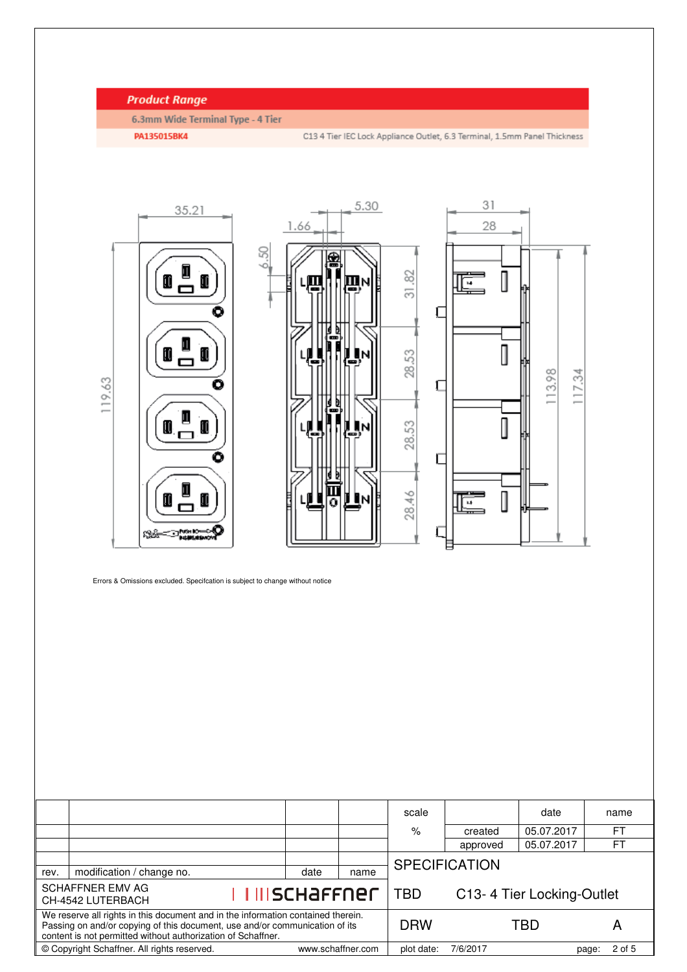## **Product Range**

6.3mm Wide Terminal Type - 4 Tier

PA135015BK4

C13 4 Tier IEC Lock Appliance Outlet, 6.3 Terminal, 1.5mm Panel Thickness



Errors & Omissions excluded. Specifcation is subject to change without notice

|                                                                                                                                                                                                                                 |                           |                      |            | scale                     |          | date       |      | name           |  |
|---------------------------------------------------------------------------------------------------------------------------------------------------------------------------------------------------------------------------------|---------------------------|----------------------|------------|---------------------------|----------|------------|------|----------------|--|
|                                                                                                                                                                                                                                 |                           |                      |            | %                         | created  | 05.07.2017 |      | <b>FT</b>      |  |
|                                                                                                                                                                                                                                 |                           |                      |            |                           | approved | 05.07.2017 |      | F <sub>1</sub> |  |
|                                                                                                                                                                                                                                 |                           | <b>SPECIFICATION</b> |            |                           |          |            |      |                |  |
| rev.                                                                                                                                                                                                                            | modification / change no. | date                 | name       |                           |          |            |      |                |  |
| <b>SCHAFFNER EMV AG</b><br><u>I III schaffner</u><br>CH-4542 LUTERBACH                                                                                                                                                          |                           |                      | <b>TBD</b> | C13-4 Tier Locking-Outlet |          |            |      |                |  |
| We reserve all rights in this document and in the information contained therein.<br>Passing on and/or copying of this document, use and/or communication of its<br>content is not permitted without authorization of Schaffner. |                           |                      |            | <b>DRW</b>                |          | TBD<br>A   |      |                |  |
| © Copyright Schaffner. All rights reserved.<br>www.schaffner.com                                                                                                                                                                |                           |                      |            | plot date:                | 7/6/2017 |            | page | 2 of 5         |  |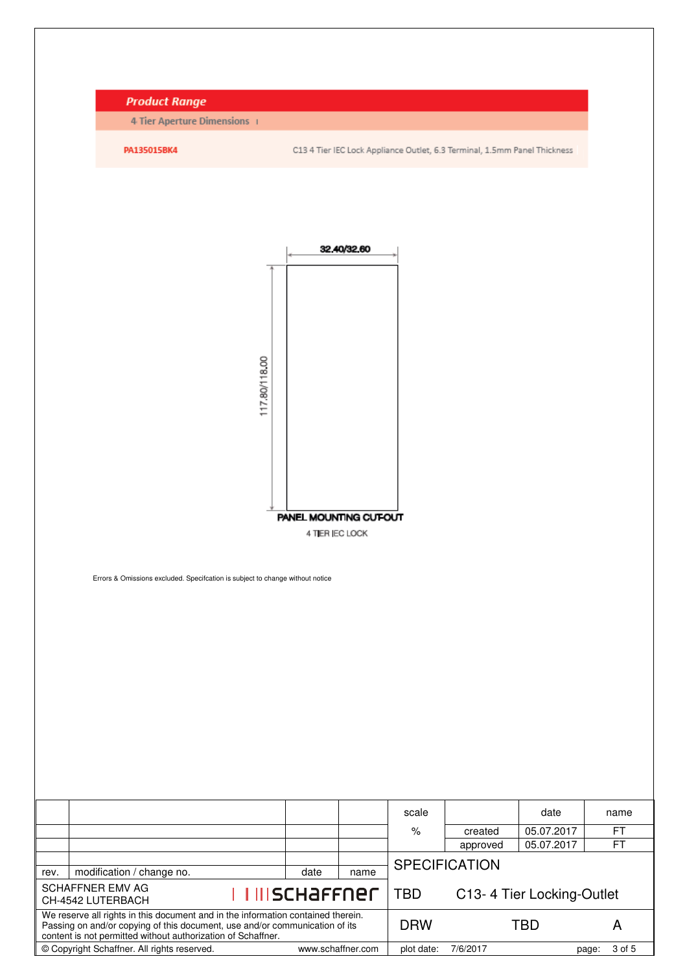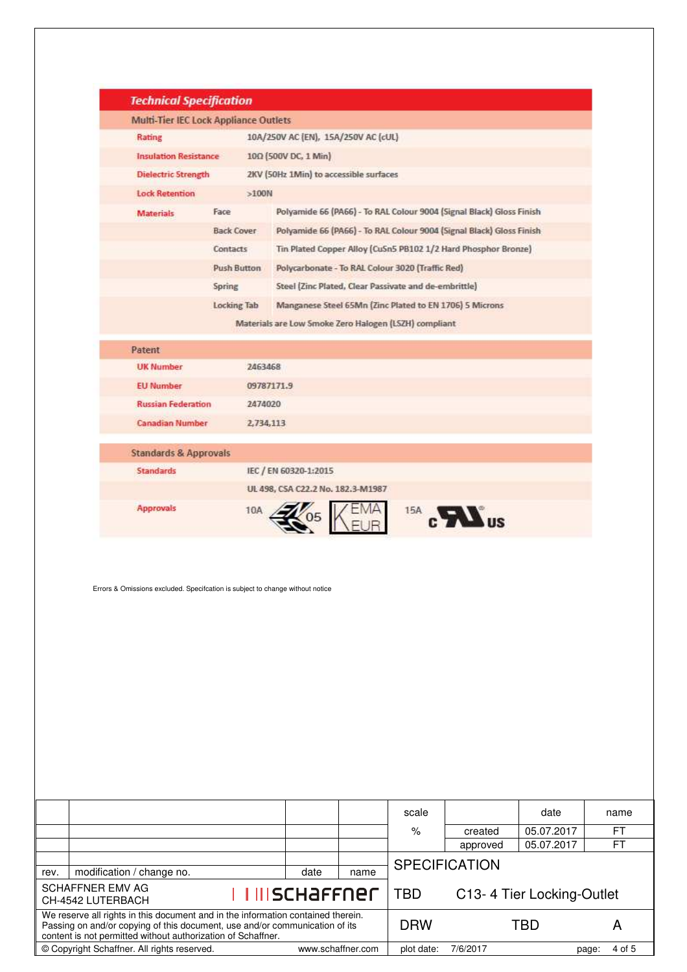|      | <b>Technical Specification</b>                                                                                                                                                                                                  |                                              |                                                       |      |            |                                                                      |                           |                 |
|------|---------------------------------------------------------------------------------------------------------------------------------------------------------------------------------------------------------------------------------|----------------------------------------------|-------------------------------------------------------|------|------------|----------------------------------------------------------------------|---------------------------|-----------------|
|      |                                                                                                                                                                                                                                 | <b>Multi-Tier IEC Lock Appliance Outlets</b> |                                                       |      |            |                                                                      |                           |                 |
|      | Rating                                                                                                                                                                                                                          | 10A/250V AC (EN), 15A/250V AC (cUL)          |                                                       |      |            |                                                                      |                           |                 |
|      | <b>Insulation Resistance</b>                                                                                                                                                                                                    | 100 (500V DC, 1 Min)                         |                                                       |      |            |                                                                      |                           |                 |
|      | <b>Dielectric Strength</b>                                                                                                                                                                                                      |                                              | 2KV (50Hz 1Min) to accessible surfaces                |      |            |                                                                      |                           |                 |
|      | <b>Lock Retention</b>                                                                                                                                                                                                           | $>100N$                                      |                                                       |      |            |                                                                      |                           |                 |
|      | <b>Materials</b>                                                                                                                                                                                                                | Face                                         |                                                       |      |            | Polyamide 66 (PA66) - To RAL Colour 9004 (Signal Black) Gloss Finish |                           |                 |
|      |                                                                                                                                                                                                                                 | <b>Back Cover:</b>                           |                                                       |      |            | Polyamide 66 (PA66) - To RAL Colour 9004 (Signal Black) Gloss Finish |                           |                 |
|      |                                                                                                                                                                                                                                 | Contacts                                     |                                                       |      |            | Tin Plated Copper Alloy (CuSn5 PB102 1/2 Hard Phosphor Bronze)       |                           |                 |
|      |                                                                                                                                                                                                                                 | Push Button                                  | Polycarbonate - To RAL Colour 3020 (Traffic Red)      |      |            |                                                                      |                           |                 |
|      |                                                                                                                                                                                                                                 | Spring                                       | Steel (Zinc Plated, Clear Passivate and de-embrittle) |      |            |                                                                      |                           |                 |
|      |                                                                                                                                                                                                                                 | <b>Locking Tab</b>                           |                                                       |      |            | Manganese Steel 65Mn (Zinc Plated to EN 1706) 5 Microns              |                           |                 |
|      |                                                                                                                                                                                                                                 |                                              | Materials are Low Smoke Zero Halogen (LSZH) compliant |      |            |                                                                      |                           |                 |
|      | Patent                                                                                                                                                                                                                          |                                              |                                                       |      |            |                                                                      |                           |                 |
|      | <b>UK Number</b>                                                                                                                                                                                                                | 2463468                                      |                                                       |      |            |                                                                      |                           |                 |
|      | <b>EU Number</b>                                                                                                                                                                                                                | 09787171.9                                   |                                                       |      |            |                                                                      |                           |                 |
|      | <b>Russian Federation</b>                                                                                                                                                                                                       | 2474020                                      |                                                       |      |            |                                                                      |                           |                 |
|      | <b>Canadian Number</b>                                                                                                                                                                                                          | 2,734,113                                    |                                                       |      |            |                                                                      |                           |                 |
|      | <b>Standards &amp; Approvals</b>                                                                                                                                                                                                |                                              |                                                       |      |            |                                                                      |                           |                 |
|      | <b>Standards</b>                                                                                                                                                                                                                |                                              | IEC / EN 60320-1:2015                                 |      |            |                                                                      |                           |                 |
|      |                                                                                                                                                                                                                                 |                                              | UL 498, CSA C22.2 No. 182.3-M1987                     |      |            |                                                                      |                           |                 |
|      | <b>Approvals</b>                                                                                                                                                                                                                | 10A                                          |                                                       |      |            | 15A C US                                                             |                           |                 |
|      | Errors & Omissions excluded. Specification is subject to change without notice                                                                                                                                                  |                                              |                                                       |      |            |                                                                      |                           |                 |
|      |                                                                                                                                                                                                                                 |                                              |                                                       |      | scale      |                                                                      | date                      | name            |
|      |                                                                                                                                                                                                                                 |                                              |                                                       |      | $\%$       | created<br>approved                                                  | 05.07.2017<br>05.07.2017  | FT<br>FT        |
|      |                                                                                                                                                                                                                                 |                                              |                                                       |      |            | <b>SPECIFICATION</b>                                                 |                           |                 |
| rev. | modification / change no.                                                                                                                                                                                                       |                                              | date                                                  | name |            |                                                                      |                           |                 |
|      | <b>SCHAFFNER EMV AG</b><br>CH-4542 LUTERBACH                                                                                                                                                                                    |                                              | <u>I IIISCHAFFNEF</u>                                 |      | <b>TBD</b> |                                                                      | C13-4 Tier Locking-Outlet |                 |
|      | We reserve all rights in this document and in the information contained therein.<br>Passing on and/or copying of this document, use and/or communication of its<br>content is not permitted without authorization of Schaffner. |                                              |                                                       |      | <b>DRW</b> |                                                                      | <b>TBD</b>                | A               |
|      | © Copyright Schaffner. All rights reserved.                                                                                                                                                                                     |                                              | www.schaffner.com                                     |      | plot date: | 7/6/2017                                                             |                           | 4 of 5<br>page: |